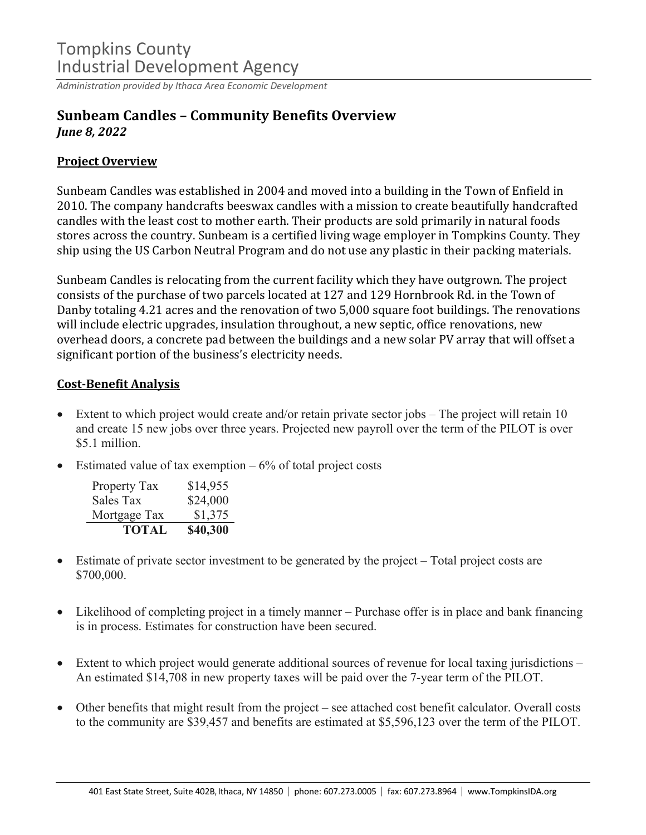## Tompkins County Industrial Development Agency

*Administration provided by Ithaca Area Economic Development*

### **Sunbeam Candles – Community Benefits Overview** *June 8, 2022*

#### **Project Overview**

Sunbeam Candles was established in 2004 and moved into a building in the Town of Enfield in 2010. The company handcrafts beeswax candles with a mission to create beautifully handcrafted candles with the least cost to mother earth. Their products are sold primarily in natural foods stores across the country. Sunbeam is a certified living wage employer in Tompkins County. They ship using the US Carbon Neutral Program and do not use any plastic in their packing materials.

Sunbeam Candles is relocating from the current facility which they have outgrown. The project consists of the purchase of two parcels located at 127 and 129 Hornbrook Rd. in the Town of Danby totaling 4.21 acres and the renovation of two 5,000 square foot buildings. The renovations will include electric upgrades, insulation throughout, a new septic, office renovations, new overhead doors, a concrete pad between the buildings and a new solar PV array that will offset a significant portion of the business's electricity needs.

#### **Cost-Benefit Analysis**

- Extent to which project would create and/or retain private sector jobs The project will retain 10 and create 15 new jobs over three years. Projected new payroll over the term of the PILOT is over \$5.1 million.
- Estimated value of tax exemption  $-6\%$  of total project costs

| Property Tax | \$14,955 |
|--------------|----------|
| Sales Tax    | \$24,000 |
| Mortgage Tax | \$1,375  |
| TOTAL        | \$40,300 |

- Estimate of private sector investment to be generated by the project Total project costs are \$700,000.
- Likelihood of completing project in a timely manner Purchase offer is in place and bank financing is in process. Estimates for construction have been secured.
- Extent to which project would generate additional sources of revenue for local taxing jurisdictions An estimated \$14,708 in new property taxes will be paid over the 7-year term of the PILOT.
- Other benefits that might result from the project see attached cost benefit calculator. Overall costs to the community are \$39,457 and benefits are estimated at \$5,596,123 over the term of the PILOT.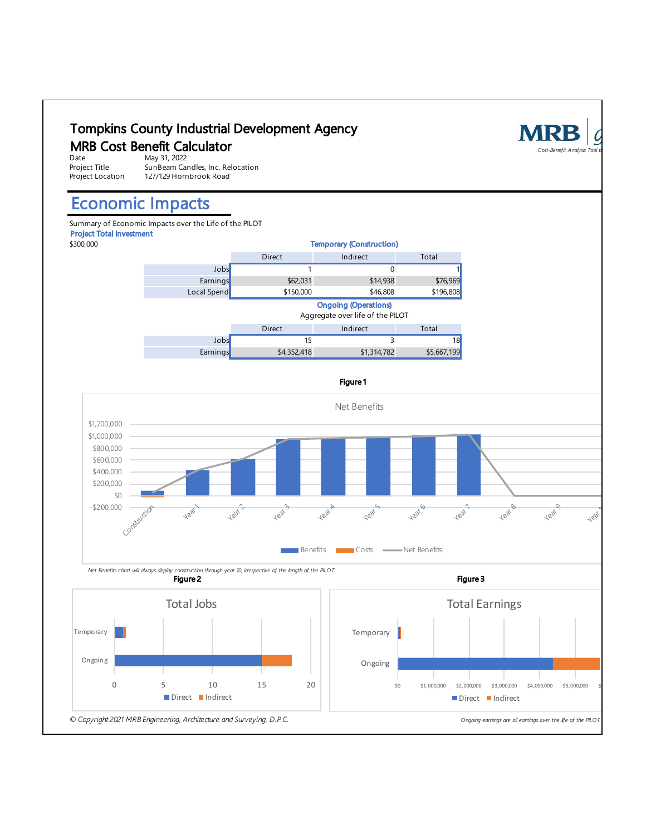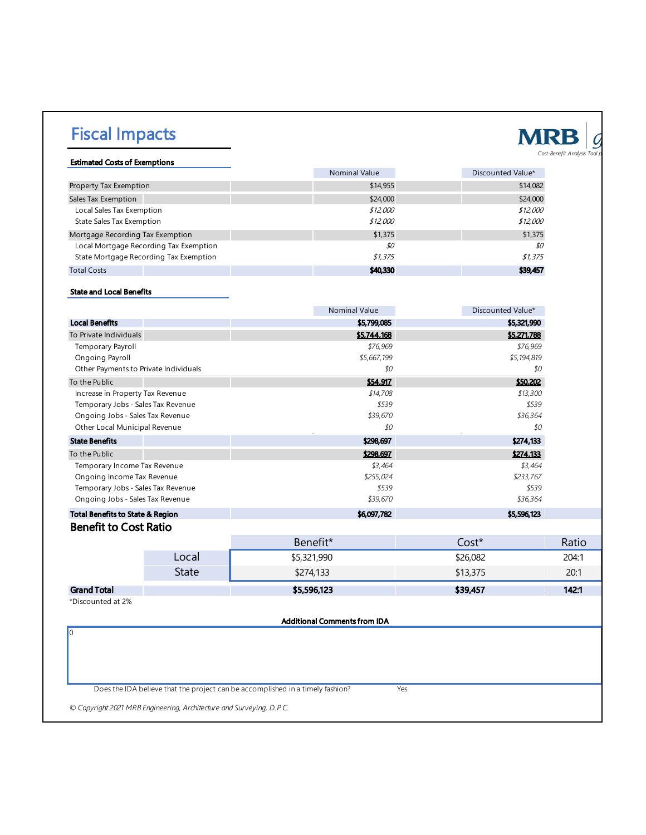# Fiscal Impacts



#### Estimated Costs of Exemptions

|                                        | <b>Nominal Value</b> | Discounted Value* |
|----------------------------------------|----------------------|-------------------|
| Property Tax Exemption                 | \$14,955             | \$14,082          |
| Sales Tax Exemption                    | \$24,000             | \$24,000          |
| Local Sales Tax Exemption              | \$12,000             | \$12,000          |
| <b>State Sales Tax Exemption</b>       | \$12,000             | \$12,000          |
| Mortgage Recording Tax Exemption       | \$1,375              | \$1,375           |
| Local Mortgage Recording Tax Exemption | \$0                  | \$0               |
| State Mortgage Recording Tax Exemption | \$1,375              | \$1,375           |
| <b>Total Costs</b>                     | \$40,330             | \$39,457          |

#### State and Local Benefits

|                                       |              | <b>Nominal Value</b>                                                           | Discounted Value* |       |
|---------------------------------------|--------------|--------------------------------------------------------------------------------|-------------------|-------|
| <b>Local Benefits</b>                 |              | \$5,799,085                                                                    | \$5,321,990       |       |
| To Private Individuals                |              | \$5,744.168                                                                    | \$5,271.788       |       |
| Temporary Payroll                     |              | \$76,969                                                                       | \$76,969          |       |
| Ongoing Payroll                       |              | \$5,667,199                                                                    | \$5,194,819       |       |
| Other Payments to Private Individuals |              | \$0                                                                            | \$0               |       |
| To the Public                         |              | \$54.917                                                                       | \$50,202          |       |
| Increase in Property Tax Revenue      |              | \$14,708                                                                       | \$13,300          |       |
| Temporary Jobs - Sales Tax Revenue    |              | \$539                                                                          | \$539             |       |
| Ongoing Jobs - Sales Tax Revenue      |              | \$39,670                                                                       | \$36,364          |       |
| Other Local Municipal Revenue         |              | \$0                                                                            | \$0               |       |
| <b>State Benefits</b>                 |              | \$298,697                                                                      | \$274,133         |       |
| To the Public                         |              | \$298.697                                                                      | \$274.133         |       |
| Temporary Income Tax Revenue          |              | \$3,464                                                                        | \$3,464           |       |
| Ongoing Income Tax Revenue            |              | \$255,024                                                                      | \$233,767         |       |
| Temporary Jobs - Sales Tax Revenue    |              | \$539                                                                          | \$539             |       |
| Ongoing Jobs - Sales Tax Revenue      |              | \$39,670                                                                       | \$36,364          |       |
|                                       |              |                                                                                | \$5,596,123       |       |
| Total Benefits to State & Region      |              | \$6,097,782                                                                    |                   |       |
| <b>Benefit to Cost Ratio</b>          |              |                                                                                |                   |       |
|                                       |              | Benefit*                                                                       | Cost*             | Ratio |
|                                       | Local        | \$5,321,990                                                                    | \$26,082          | 204:1 |
|                                       | <b>State</b> | \$274,133                                                                      | \$13,375          | 20:1  |
| <b>Grand Total</b>                    |              | \$5,596,123                                                                    | \$39,457          | 142:1 |
| *Discounted at 2%                     |              |                                                                                |                   |       |
|                                       |              |                                                                                |                   |       |
|                                       |              | <b>Additional Comments from IDA</b>                                            |                   |       |
| 10                                    |              |                                                                                |                   |       |
|                                       |              |                                                                                |                   |       |
|                                       |              |                                                                                |                   |       |
|                                       |              |                                                                                |                   |       |
|                                       |              | Does the IDA believe that the project can be accomplished in a timely fashion? | Yes               |       |

*© Copyright 2021 MRB Engineering, Architecture and Surveying, D.P.C.*